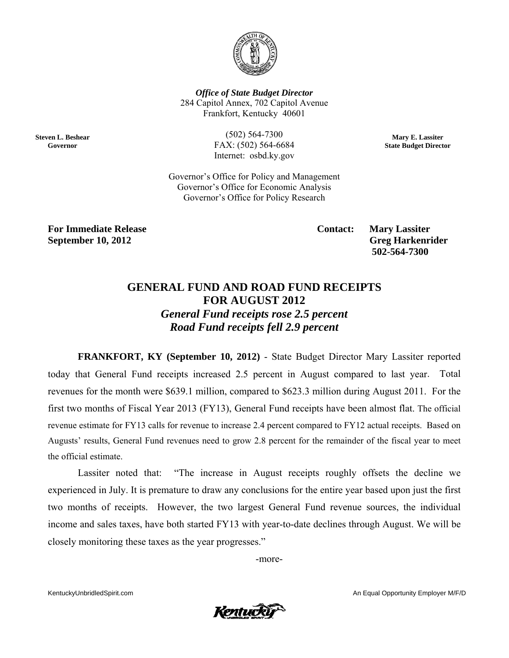

**Office of State Budget Director** 284 Capitol Annex, 702 Capitol Avenue Frankfort, Kentucky 40601

**Steven L. Beshear** Governor

 $(502) 564 - 7300$ FAX: (502) 564-6684 Internet: osbd.ky.gov

Mary E. Lassiter **State Budget Director** 

Governor's Office for Policy and Management Governor's Office for Economic Analysis Governor's Office for Policy Research

**For Immediate Release September 10, 2012** 

**Contact:** 

**Mary Lassiter Greg Harkenrider** 502-564-7300

## **GENERAL FUND AND ROAD FUND RECEIPTS FOR AUGUST 2012 General Fund receipts rose 2.5 percent Road Fund receipts fell 2.9 percent**

**FRANKFORT, KY (September 10, 2012)** - State Budget Director Mary Lassiter reported today that General Fund receipts increased 2.5 percent in August compared to last year. Total revenues for the month were \$639.1 million, compared to \$623.3 million during August 2011. For the first two months of Fiscal Year 2013 (FY13), General Fund receipts have been almost flat. The official revenue estimate for FY13 calls for revenue to increase 2.4 percent compared to FY12 actual receipts. Based on Augusts' results, General Fund revenues need to grow 2.8 percent for the remainder of the fiscal year to meet the official estimate.

"The increase in August receipts roughly offsets the decline we Lassiter noted that: experienced in July. It is premature to draw any conclusions for the entire year based upon just the first two months of receipts. However, the two largest General Fund revenue sources, the individual income and sales taxes, have both started FY13 with year-to-date declines through August. We will be closely monitoring these taxes as the year progresses."

-more-

KentuckyUnbridledSpirit.com



An Equal Opportunity Employer M/F/D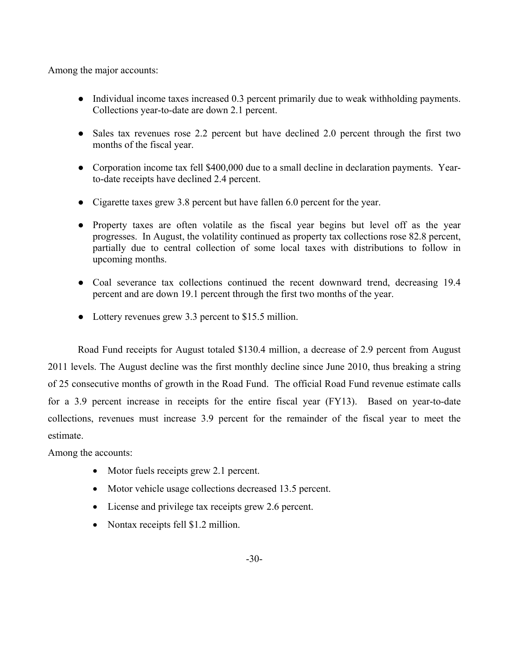Among the major accounts:

- Individual income taxes increased 0.3 percent primarily due to weak withholding payments. Collections year-to-date are down 2.1 percent.
- Sales tax revenues rose 2.2 percent but have declined 2.0 percent through the first two months of the fiscal year.
- Corporation income tax fell \$400,000 due to a small decline in declaration payments. Yearto-date receipts have declined 2.4 percent.
- Cigarette taxes grew 3.8 percent but have fallen 6.0 percent for the year.
- Property taxes are often volatile as the fiscal year begins but level off as the year progresses. In August, the volatility continued as property tax collections rose 82.8 percent, partially due to central collection of some local taxes with distributions to follow in upcoming months.
- Coal severance tax collections continued the recent downward trend, decreasing 19.4 percent and are down 19.1 percent through the first two months of the year.
- Lottery revenues grew 3.3 percent to \$15.5 million.

Road Fund receipts for August totaled \$130.4 million, a decrease of 2.9 percent from August 2011 levels. The August decline was the first monthly decline since June 2010, thus breaking a string of 25 consecutive months of growth in the Road Fund. The official Road Fund revenue estimate calls for a 3.9 percent increase in receipts for the entire fiscal year (FY13). Based on year-to-date collections, revenues must increase 3.9 percent for the remainder of the fiscal year to meet the estimate.

Among the accounts:

- Motor fuels receipts grew 2.1 percent.
- Motor vehicle usage collections decreased 13.5 percent.
- License and privilege tax receipts grew 2.6 percent.
- Nontax receipts fell \$1.2 million.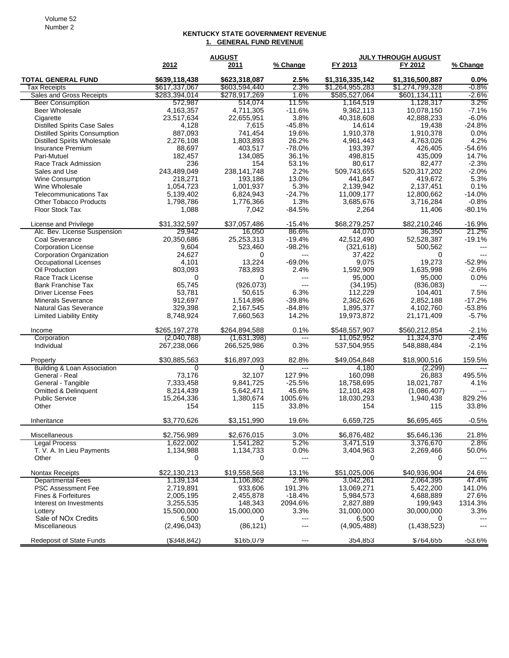## **KENTUCKY STATE GOVERNMENT REVENUE 1. GENERAL FUND REVENUE**

|                                                         | <b>AUGUST</b>        |                |                               | JULY THROUGH AUGUST  |                  |                |
|---------------------------------------------------------|----------------------|----------------|-------------------------------|----------------------|------------------|----------------|
|                                                         | 2012                 | 2011           | % Change                      | FY 2013              | FY 2012          | % Change       |
| <b>TOTAL GENERAL FUND</b>                               | \$639,118,438        | \$623,318,087  | 2.5%                          | \$1,316,335,142      | \$1,316,500,887  | $0.0\%$        |
| Tax Receipts                                            | \$617,337,067        | \$603,594,440  | 2.3%                          | \$1,264,955,283      | \$1,274,799,328  | -0.8%          |
| Sales and Gross Receipts                                | \$283,394,014        | \$278,917,269  | 1.6%                          | \$585,527,064        | \$601,134,111    | -2.6%          |
| <b>Beer Consumption</b>                                 | 572,987              | 514,074        | 11.5%                         | 1,164,519            | 1,128,317        | $3.2\%$        |
| Beer Wholesale                                          | 4,163,357            | 4,711,305      | $-11.6%$                      | 9,362,113            | 10,078,150       | $-7.1%$        |
| Cigarette                                               | 23,517,634           | 22,655,951     | 3.8%                          | 40,318,608           | 42,888,233       | $-6.0%$        |
| <b>Distilled Spirits Case Sales</b>                     | 4,128                | 7,615          | $-45.8%$                      | 14,614               | 19,438           | $-24.8%$       |
| <b>Distilled Spirits Consumption</b>                    | 887,093              | 741,454        | 19.6%                         | 1,910,378            | 1,910,378        | 0.0%           |
| <b>Distilled Spirits Wholesale</b>                      | 2,276,108            | 1,803,893      | 26.2%                         | 4,961,443            | 4,763,026        | 4.2%           |
| Insurance Premium                                       | 88,697               | 403,517        | $-78.0%$                      | 193,397              | 426,405          | $-54.6%$       |
| Pari-Mutuel                                             | 182,457              | 134,085        | 36.1%                         | 498,815              | 435,009          | 14.7%          |
| Race Track Admission                                    | 236                  | 154            | 53.1%                         | 80,617               | 82,477           | $-2.3%$        |
| Sales and Use                                           | 243,489,049          | 238,141,748    | 2.2%                          | 509,743,655          | 520,317,202      | $-2.0%$        |
| <b>Wine Consumption</b>                                 | 218,271              | 193,186        | 13.0%                         | 441,847              | 419,672          | 5.3%           |
| Wine Wholesale                                          | 1,054,723            | 1,001,937      | 5.3%                          | 2,139,942            | 2,137,451        | 0.1%           |
| <b>Telecommunications Tax</b>                           | 5,139,402            | 6,824,943      | $-24.7%$                      | 11,009,177           | 12,800,662       | $-14.0%$       |
| <b>Other Tobacco Products</b>                           | 1,798,786            | 1,776,366      | 1.3%                          | 3,685,676            | 3,716,284        | $-0.8%$        |
| Floor Stock Tax                                         | 1,088                | 7,042          | $-84.5%$                      | 2,264                | 11,406           | $-80.1%$       |
| License and Privilege                                   | \$31,332,597         | \$37,057,486   | $-15.4%$                      | \$68,279,257         | \$82,210,246     | $-16.9%$       |
| Alc. Bev. License Suspension                            | 29,942               | 16,050         | 86.6%                         | 44.070               | 36,350           | 21.2%          |
| <b>Coal Severance</b>                                   | 20,350,686           | 25,253,313     | $-19.4%$                      | 42,512,490           | 52,528,387       | $-19.1%$       |
| <b>Corporation License</b>                              | 9,604                | 523,460        | $-98.2%$                      | (321, 618)           | 500,562          | $---$          |
| <b>Corporation Organization</b>                         | 24,627               | 0              | $\overline{a}$                | 37,422               | 0                |                |
| <b>Occupational Licenses</b>                            | 4,101                | 13,224         | -69.0%                        | 9,075                | 19,273           | $-52.9%$       |
| Oil Production                                          | 803,093              | 783,893        | 2.4%                          | 1,592,909            | 1,635,998        | $-2.6%$        |
| Race Track License                                      | $\mathbf 0$          | $\Omega$       | $\overline{a}$                | 95,000               | 95,000           | 0.0%           |
| <b>Bank Franchise Tax</b>                               | 65,745               | (926, 073)     | $---$                         | (34, 195)            | (836,083)        | $\overline{a}$ |
| <b>Driver License Fees</b>                              | 53,781               | 50,615         | 6.3%                          | 112,229              | 104,401          | 7.5%           |
| <b>Minerals Severance</b>                               | 912,697              | 1,514,896      | $-39.8%$                      | 2,362,626            | 2,852,188        | $-17.2%$       |
| Natural Gas Severance                                   | 329,398              | 2,167,545      | $-84.8%$                      | 1,895,377            | 4,102,760        | $-53.8%$       |
| <b>Limited Liability Entity</b>                         | 8,748,924            | 7,660,563      | 14.2%                         | 19,973,872           | 21,171,409       | $-5.7%$        |
| Income                                                  | \$265,197,278        | \$264,894,588  | 0.1%                          | \$548,557,907        | \$560,212,854    | $-2.1%$        |
| Corporation                                             | (2,040,788)          | (1,631,398)    | ---                           | 11,052,952           | 11,324,370       | -2.4%          |
| Individual                                              | 267,238,066          | 266,525,986    | 0.3%                          | 537,504,955          | 548,888,484      | $-2.1%$        |
| Property                                                | \$30,885,563         | \$16,897,093   | 82.8%                         | \$49,054,848         | \$18,900,516     | 159.5%         |
| Building & Loan Association                             | $\Omega$             | 0              | $---$                         | 4,180                | (2,299)          | $---$          |
| General - Real                                          | 73,176               | 32,107         | 127.9%                        | 160,098              | 26.883           | 495.5%         |
| General - Tangible                                      | 7,333,458            | 9,841,725      | $-25.5%$                      | 18,758,695           | 18,021,787       | 4.1%           |
| <b>Omitted &amp; Delinquent</b>                         | 8,214,439            | 5,642,471      | 45.6%                         | 12,101,428           | (1,086,407)      |                |
| <b>Public Service</b>                                   | 15,264,336           | 1,380,674      | 1005.6%                       | 18,030,293           | 1,940,438        | 829.2%         |
| Other                                                   | 154                  | 115            | 33.8%                         | 154                  | 115              | 33.8%          |
| Inheritance                                             | \$3,770,626          | \$3,151,990    | 19.6%                         | 6,659,725            | \$6,695,465      | $-0.5%$        |
| Miscellaneous                                           | \$2,756,989          | \$2,676,015    | 3.0%                          | \$6,876,482          | \$5,646,136      | 21.8%          |
| Legal Process                                           | 1,622,002            | 1,541,282      | 5.2%                          | 3,471,519            | 3,376,670        | 2.8%           |
| T. V. A. In Lieu Payments                               | 1,134,988            | 1,134,733      | 0.0%                          | 3,404,963            | 2,269,466        | 50.0%          |
| Other                                                   | 0                    | 0              | ---                           | 0                    | 0                |                |
| Nontax Receipts                                         | \$22,130,213         | \$19,558,568   | 13.1%                         | \$51,025,006         | \$40,936,904     | 24.6%          |
| <b>Departmental Fees</b>                                | 1,139,134            | 1,106,862      | 2.9%                          | 3,042,261            | 2,064,395        | 47.4%          |
| <b>PSC Assessment Fee</b>                               | 2,719,891            | 933,606        | 191.3%                        | 13,069,271           | 5,422,200        | 141.0%         |
| Fines & Forfeitures                                     | 2,005,195            | 2,455,878      | $-18.4%$                      | 5,984,573            | 4,688,889        | 27.6%          |
| Interest on Investments                                 | 3,255,535            | 148,343        | 2094.6%                       | 2,827,889            | 199,943          | 1314.3%        |
| Lottery                                                 | 15,500,000           | 15,000,000     | 3.3%                          | 31,000,000           | 30,000,000       | 3.3%           |
| Sale of NO <sub>x</sub> Credits<br><b>Miscellaneous</b> | 6,500<br>(2,496,043) | 0<br>(86, 121) | $\qquad \qquad \cdots$<br>--- | 6,500<br>(4,905,488) | 0<br>(1,438,523) |                |
|                                                         |                      |                |                               |                      |                  | $-53.6%$       |
| Redeposit of State Funds                                | (\$348, 842)         | \$165,079      | ---                           | 354,853              | \$764,655        |                |